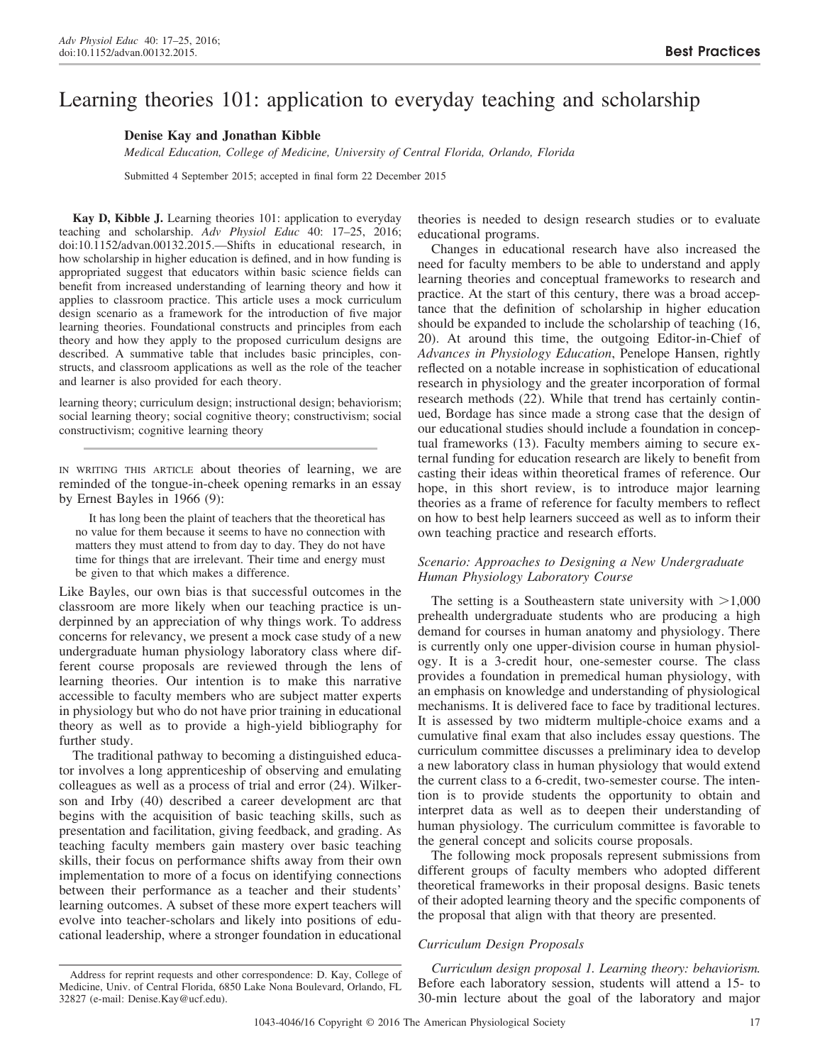# Learning theories 101: application to everyday teaching and scholarship

# **Denise Kay and Jonathan Kibble**

*Medical Education, College of Medicine, University of Central Florida, Orlando, Florida*

Submitted 4 September 2015; accepted in final form 22 December 2015

**Kay D, Kibble J.** Learning theories 101: application to everyday teaching and scholarship. *Adv Physiol Educ* 40: 17–25, 2016; doi:10.1152/advan.00132.2015.—Shifts in educational research, in how scholarship in higher education is defined, and in how funding is appropriated suggest that educators within basic science fields can benefit from increased understanding of learning theory and how it applies to classroom practice. This article uses a mock curriculum design scenario as a framework for the introduction of five major learning theories. Foundational constructs and principles from each theory and how they apply to the proposed curriculum designs are described. A summative table that includes basic principles, constructs, and classroom applications as well as the role of the teacher and learner is also provided for each theory.

learning theory; curriculum design; instructional design; behaviorism; social learning theory; social cognitive theory; constructivism; social constructivism; cognitive learning theory

IN WRITING THIS ARTICLE about theories of learning, we are reminded of the tongue-in-cheek opening remarks in an essay by Ernest Bayles in 1966 (9):

It has long been the plaint of teachers that the theoretical has no value for them because it seems to have no connection with matters they must attend to from day to day. They do not have time for things that are irrelevant. Their time and energy must be given to that which makes a difference.

Like Bayles, our own bias is that successful outcomes in the classroom are more likely when our teaching practice is underpinned by an appreciation of why things work. To address concerns for relevancy, we present a mock case study of a new undergraduate human physiology laboratory class where different course proposals are reviewed through the lens of learning theories. Our intention is to make this narrative accessible to faculty members who are subject matter experts in physiology but who do not have prior training in educational theory as well as to provide a high-yield bibliography for further study.

The traditional pathway to becoming a distinguished educator involves a long apprenticeship of observing and emulating colleagues as well as a process of trial and error (24). Wilkerson and Irby (40) described a career development arc that begins with the acquisition of basic teaching skills, such as presentation and facilitation, giving feedback, and grading. As teaching faculty members gain mastery over basic teaching skills, their focus on performance shifts away from their own implementation to more of a focus on identifying connections between their performance as a teacher and their students' learning outcomes. A subset of these more expert teachers will evolve into teacher-scholars and likely into positions of educational leadership, where a stronger foundation in educational

Address for reprint requests and other correspondence: D. Kay, College of Medicine, Univ. of Central Florida, 6850 Lake Nona Boulevard, Orlando, FL 32827 (e-mail: Denise.Kay@ucf.edu).

theories is needed to design research studies or to evaluate educational programs.

Changes in educational research have also increased the need for faculty members to be able to understand and apply learning theories and conceptual frameworks to research and practice. At the start of this century, there was a broad acceptance that the definition of scholarship in higher education should be expanded to include the scholarship of teaching (16, 20). At around this time, the outgoing Editor-in-Chief of *Advances in Physiology Education*, Penelope Hansen, rightly reflected on a notable increase in sophistication of educational research in physiology and the greater incorporation of formal research methods (22). While that trend has certainly continued, Bordage has since made a strong case that the design of our educational studies should include a foundation in conceptual frameworks (13). Faculty members aiming to secure external funding for education research are likely to benefit from casting their ideas within theoretical frames of reference. Our hope, in this short review, is to introduce major learning theories as a frame of reference for faculty members to reflect on how to best help learners succeed as well as to inform their own teaching practice and research efforts.

# *Scenario: Approaches to Designing a New Undergraduate Human Physiology Laboratory Course*

The setting is a Southeastern state university with  $>1,000$ prehealth undergraduate students who are producing a high demand for courses in human anatomy and physiology. There is currently only one upper-division course in human physiology. It is a 3-credit hour, one-semester course. The class provides a foundation in premedical human physiology, with an emphasis on knowledge and understanding of physiological mechanisms. It is delivered face to face by traditional lectures. It is assessed by two midterm multiple-choice exams and a cumulative final exam that also includes essay questions. The curriculum committee discusses a preliminary idea to develop a new laboratory class in human physiology that would extend the current class to a 6-credit, two-semester course. The intention is to provide students the opportunity to obtain and interpret data as well as to deepen their understanding of human physiology. The curriculum committee is favorable to the general concept and solicits course proposals.

The following mock proposals represent submissions from different groups of faculty members who adopted different theoretical frameworks in their proposal designs. Basic tenets of their adopted learning theory and the specific components of the proposal that align with that theory are presented.

### *Curriculum Design Proposals*

*Curriculum design proposal 1. Learning theory: behaviorism.* Before each laboratory session, students will attend a 15- to 30-min lecture about the goal of the laboratory and major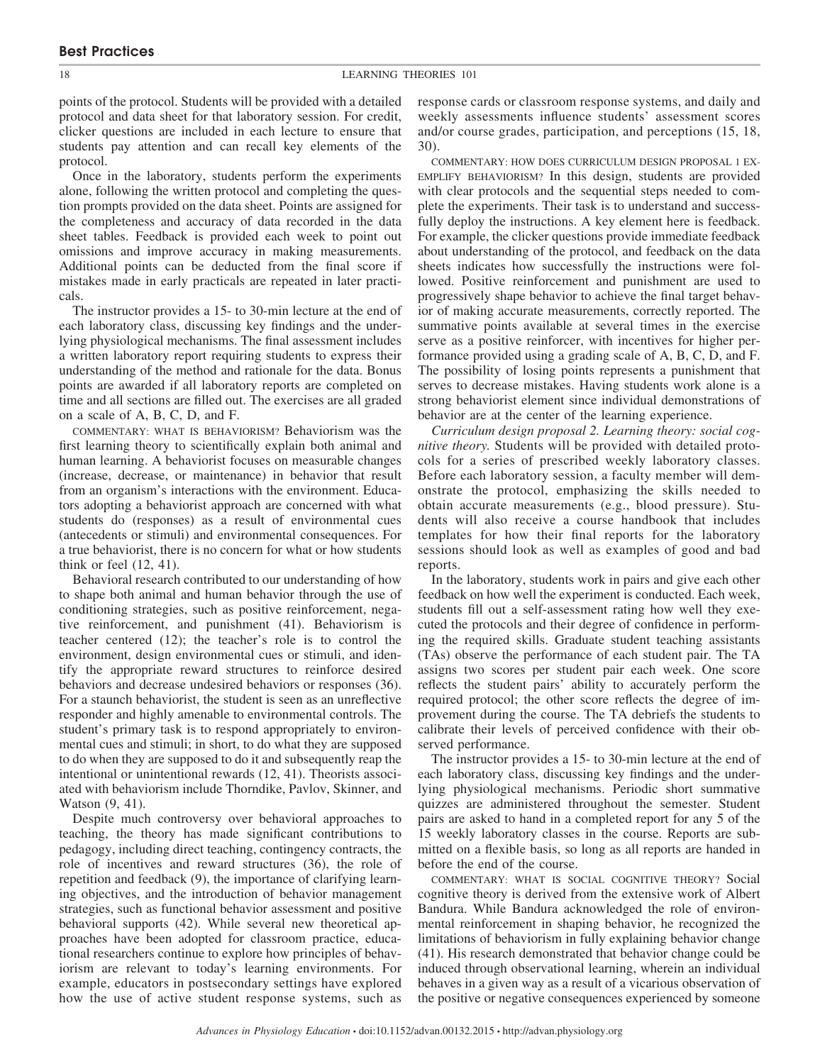points of the protocol. Students will be provided with a detailed protocol and data sheet for that laboratory session. For credit, clicker questions are included in each lecture to ensure that students pay attention and can recall key elements of the protocol.

Once in the laboratory, students perform the experiments alone, following the written protocol and completing the question prompts provided on the data sheet. Points are assigned for the completeness and accuracy of data recorded in the data sheet tables. Feedback is provided each week to point out omissions and improve accuracy in making measurements. Additional points can be deducted from the final score if mistakes made in early practicals are repeated in later practicals.

The instructor provides a 15- to 30-min lecture at the end of each laboratory class, discussing key findings and the underlying physiological mechanisms. The final assessment includes a written laboratory report requiring students to express their understanding of the method and rationale for the data. Bonus points are awarded if all laboratory reports are completed on time and all sections are filled out. The exercises are all graded on a scale of A, B, C, D, and F.

COMMENTARY: WHAT IS BEHAVIORISM? Behaviorism was the first learning theory to scientifically explain both animal and human learning. A behaviorist focuses on measurable changes (increase, decrease, or maintenance) in behavior that result from an organism's interactions with the environment. Educators adopting a behaviorist approach are concerned with what students do (responses) as a result of environmental cues (antecedents or stimuli) and environmental consequences. For a true behaviorist, there is no concern for what or how students think or feel (12, 41).

Behavioral research contributed to our understanding of how to shape both animal and human behavior through the use of conditioning strategies, such as positive reinforcement, negative reinforcement, and punishment (41). Behaviorism is teacher centered (12); the teacher's role is to control the environment, design environmental cues or stimuli, and identify the appropriate reward structures to reinforce desired behaviors and decrease undesired behaviors or responses (36). For a staunch behaviorist, the student is seen as an unreflective responder and highly amenable to environmental controls. The student's primary task is to respond appropriately to environmental cues and stimuli; in short, to do what they are supposed to do when they are supposed to do it and subsequently reap the intentional or unintentional rewards (12, 41). Theorists associated with behaviorism include Thorndike, Pavlov, Skinner, and Watson (9, 41).

Despite much controversy over behavioral approaches to teaching, the theory has made significant contributions to pedagogy, including direct teaching, contingency contracts, the role of incentives and reward structures (36), the role of repetition and feedback (9), the importance of clarifying learning objectives, and the introduction of behavior management strategies, such as functional behavior assessment and positive behavioral supports (42). While several new theoretical approaches have been adopted for classroom practice, educational researchers continue to explore how principles of behaviorism are relevant to today's learning environments. For example, educators in postsecondary settings have explored how the use of active student response systems, such as

response cards or classroom response systems, and daily and weekly assessments influence students' assessment scores and/or course grades, participation, and perceptions (15, 18, 30).

COMMENTARY: HOW DOES CURRICULUM DESIGN PROPOSAL 1 EX-EMPLIFY BEHAVIORISM? In this design, students are provided with clear protocols and the sequential steps needed to complete the experiments. Their task is to understand and successfully deploy the instructions. A key element here is feedback. For example, the clicker questions provide immediate feedback about understanding of the protocol, and feedback on the data sheets indicates how successfully the instructions were followed. Positive reinforcement and punishment are used to progressively shape behavior to achieve the final target behavior of making accurate measurements, correctly reported. The summative points available at several times in the exercise serve as a positive reinforcer, with incentives for higher performance provided using a grading scale of A, B, C, D, and F. The possibility of losing points represents a punishment that serves to decrease mistakes. Having students work alone is a strong behaviorist element since individual demonstrations of behavior are at the center of the learning experience.

*Curriculum design proposal 2. Learning theory: social cognitive theory.* Students will be provided with detailed protocols for a series of prescribed weekly laboratory classes. Before each laboratory session, a faculty member will demonstrate the protocol, emphasizing the skills needed to obtain accurate measurements (e.g., blood pressure). Students will also receive a course handbook that includes templates for how their final reports for the laboratory sessions should look as well as examples of good and bad reports.

In the laboratory, students work in pairs and give each other feedback on how well the experiment is conducted. Each week, students fill out a self-assessment rating how well they executed the protocols and their degree of confidence in performing the required skills. Graduate student teaching assistants (TAs) observe the performance of each student pair. The TA assigns two scores per student pair each week. One score reflects the student pairs' ability to accurately perform the required protocol; the other score reflects the degree of improvement during the course. The TA debriefs the students to calibrate their levels of perceived confidence with their observed performance.

The instructor provides a 15- to 30-min lecture at the end of each laboratory class, discussing key findings and the underlying physiological mechanisms. Periodic short summative quizzes are administered throughout the semester. Student pairs are asked to hand in a completed report for any 5 of the 15 weekly laboratory classes in the course. Reports are submitted on a flexible basis, so long as all reports are handed in before the end of the course.

COMMENTARY: WHAT IS SOCIAL COGNITIVE THEORY? Social cognitive theory is derived from the extensive work of Albert Bandura. While Bandura acknowledged the role of environmental reinforcement in shaping behavior, he recognized the limitations of behaviorism in fully explaining behavior change (41). His research demonstrated that behavior change could be induced through observational learning, wherein an individual behaves in a given way as a result of a vicarious observation of the positive or negative consequences experienced by someone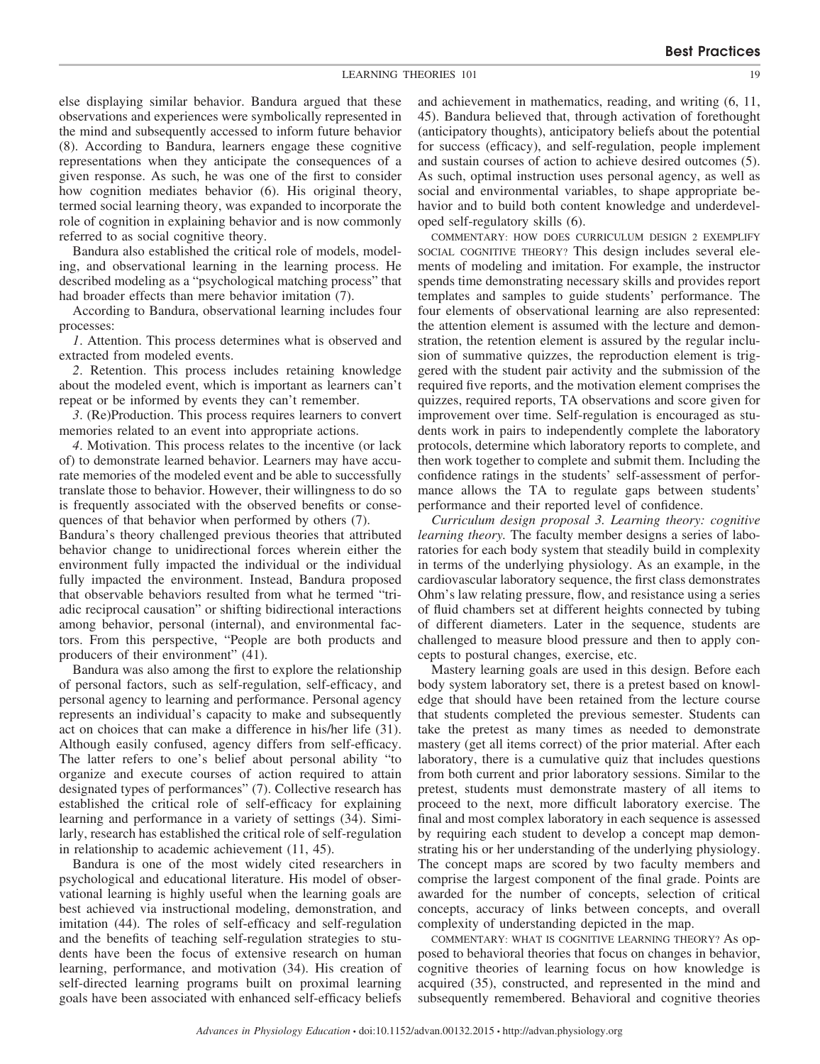### LEARNING THEORIES 101 19

else displaying similar behavior. Bandura argued that these observations and experiences were symbolically represented in the mind and subsequently accessed to inform future behavior (8). According to Bandura, learners engage these cognitive representations when they anticipate the consequences of a given response. As such, he was one of the first to consider how cognition mediates behavior (6). His original theory, termed social learning theory, was expanded to incorporate the role of cognition in explaining behavior and is now commonly referred to as social cognitive theory.

Bandura also established the critical role of models, modeling, and observational learning in the learning process. He described modeling as a "psychological matching process" that had broader effects than mere behavior imitation (7).

According to Bandura, observational learning includes four processes:

*1*. Attention. This process determines what is observed and extracted from modeled events.

*2*. Retention. This process includes retaining knowledge about the modeled event, which is important as learners can't repeat or be informed by events they can't remember.

*3*. (Re)Production. This process requires learners to convert memories related to an event into appropriate actions.

*4*. Motivation. This process relates to the incentive (or lack of) to demonstrate learned behavior. Learners may have accurate memories of the modeled event and be able to successfully translate those to behavior. However, their willingness to do so is frequently associated with the observed benefits or consequences of that behavior when performed by others (7).

Bandura's theory challenged previous theories that attributed behavior change to unidirectional forces wherein either the environment fully impacted the individual or the individual fully impacted the environment. Instead, Bandura proposed that observable behaviors resulted from what he termed "triadic reciprocal causation" or shifting bidirectional interactions among behavior, personal (internal), and environmental factors. From this perspective, "People are both products and producers of their environment" (41).

Bandura was also among the first to explore the relationship of personal factors, such as self-regulation, self-efficacy, and personal agency to learning and performance. Personal agency represents an individual's capacity to make and subsequently act on choices that can make a difference in his/her life (31). Although easily confused, agency differs from self-efficacy. The latter refers to one's belief about personal ability "to organize and execute courses of action required to attain designated types of performances" (7). Collective research has established the critical role of self-efficacy for explaining learning and performance in a variety of settings (34). Similarly, research has established the critical role of self-regulation in relationship to academic achievement (11, 45).

Bandura is one of the most widely cited researchers in psychological and educational literature. His model of observational learning is highly useful when the learning goals are best achieved via instructional modeling, demonstration, and imitation (44). The roles of self-efficacy and self-regulation and the benefits of teaching self-regulation strategies to students have been the focus of extensive research on human learning, performance, and motivation (34). His creation of self-directed learning programs built on proximal learning goals have been associated with enhanced self-efficacy beliefs

and achievement in mathematics, reading, and writing (6, 11, 45). Bandura believed that, through activation of forethought (anticipatory thoughts), anticipatory beliefs about the potential for success (efficacy), and self-regulation, people implement and sustain courses of action to achieve desired outcomes (5). As such, optimal instruction uses personal agency, as well as social and environmental variables, to shape appropriate behavior and to build both content knowledge and underdeveloped self-regulatory skills (6).

COMMENTARY: HOW DOES CURRICULUM DESIGN 2 EXEMPLIFY SOCIAL COGNITIVE THEORY? This design includes several elements of modeling and imitation. For example, the instructor spends time demonstrating necessary skills and provides report templates and samples to guide students' performance. The four elements of observational learning are also represented: the attention element is assumed with the lecture and demonstration, the retention element is assured by the regular inclusion of summative quizzes, the reproduction element is triggered with the student pair activity and the submission of the required five reports, and the motivation element comprises the quizzes, required reports, TA observations and score given for improvement over time. Self-regulation is encouraged as students work in pairs to independently complete the laboratory protocols, determine which laboratory reports to complete, and then work together to complete and submit them. Including the confidence ratings in the students' self-assessment of performance allows the TA to regulate gaps between students' performance and their reported level of confidence.

*Curriculum design proposal 3. Learning theory: cognitive learning theory.* The faculty member designs a series of laboratories for each body system that steadily build in complexity in terms of the underlying physiology. As an example, in the cardiovascular laboratory sequence, the first class demonstrates Ohm's law relating pressure, flow, and resistance using a series of fluid chambers set at different heights connected by tubing of different diameters. Later in the sequence, students are challenged to measure blood pressure and then to apply concepts to postural changes, exercise, etc.

Mastery learning goals are used in this design. Before each body system laboratory set, there is a pretest based on knowledge that should have been retained from the lecture course that students completed the previous semester. Students can take the pretest as many times as needed to demonstrate mastery (get all items correct) of the prior material. After each laboratory, there is a cumulative quiz that includes questions from both current and prior laboratory sessions. Similar to the pretest, students must demonstrate mastery of all items to proceed to the next, more difficult laboratory exercise. The final and most complex laboratory in each sequence is assessed by requiring each student to develop a concept map demonstrating his or her understanding of the underlying physiology. The concept maps are scored by two faculty members and comprise the largest component of the final grade. Points are awarded for the number of concepts, selection of critical concepts, accuracy of links between concepts, and overall complexity of understanding depicted in the map.

COMMENTARY: WHAT IS COGNITIVE LEARNING THEORY? As opposed to behavioral theories that focus on changes in behavior, cognitive theories of learning focus on how knowledge is acquired (35), constructed, and represented in the mind and subsequently remembered. Behavioral and cognitive theories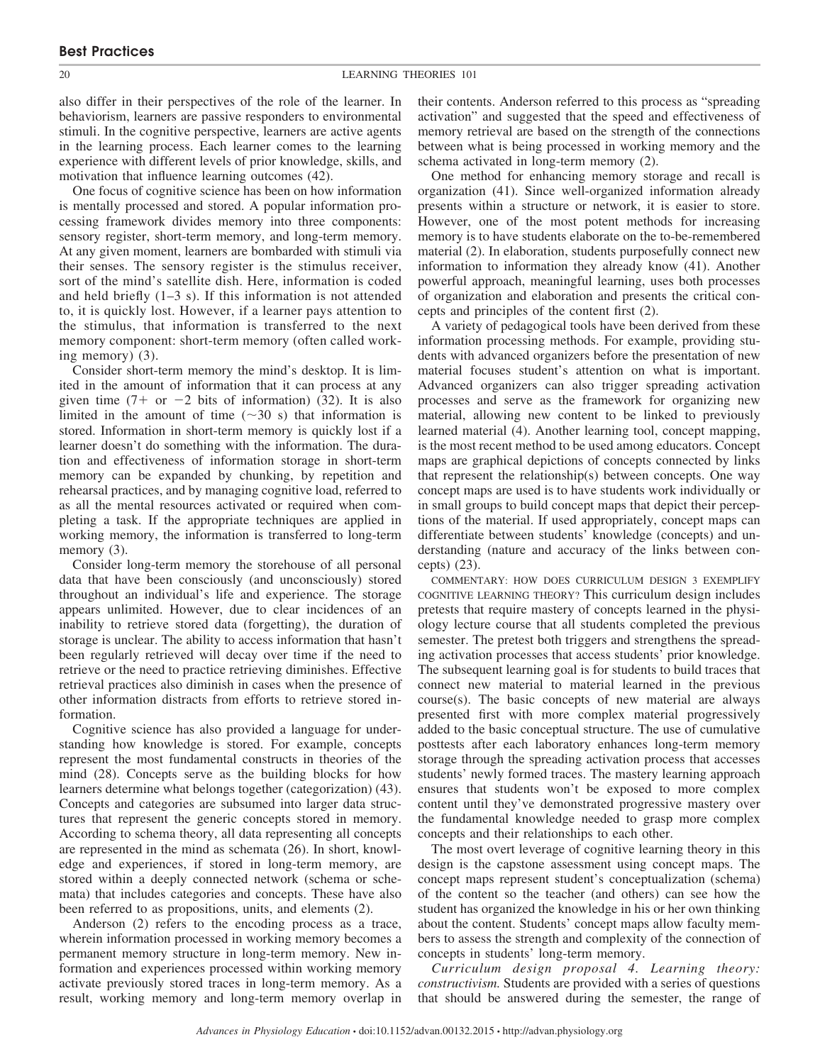also differ in their perspectives of the role of the learner. In behaviorism, learners are passive responders to environmental stimuli. In the cognitive perspective, learners are active agents in the learning process. Each learner comes to the learning experience with different levels of prior knowledge, skills, and motivation that influence learning outcomes (42).

One focus of cognitive science has been on how information is mentally processed and stored. A popular information processing framework divides memory into three components: sensory register, short-term memory, and long-term memory. At any given moment, learners are bombarded with stimuli via their senses. The sensory register is the stimulus receiver, sort of the mind's satellite dish. Here, information is coded and held briefly  $(1-3 s)$ . If this information is not attended to, it is quickly lost. However, if a learner pays attention to the stimulus, that information is transferred to the next memory component: short-term memory (often called working memory) (3).

Consider short-term memory the mind's desktop. It is limited in the amount of information that it can process at any given time  $(7 + or -2)$  bits of information) (32). It is also limited in the amount of time  $(\sim 30 \text{ s})$  that information is stored. Information in short-term memory is quickly lost if a learner doesn't do something with the information. The duration and effectiveness of information storage in short-term memory can be expanded by chunking, by repetition and rehearsal practices, and by managing cognitive load, referred to as all the mental resources activated or required when completing a task. If the appropriate techniques are applied in working memory, the information is transferred to long-term memory  $(3)$ .

Consider long-term memory the storehouse of all personal data that have been consciously (and unconsciously) stored throughout an individual's life and experience. The storage appears unlimited. However, due to clear incidences of an inability to retrieve stored data (forgetting), the duration of storage is unclear. The ability to access information that hasn't been regularly retrieved will decay over time if the need to retrieve or the need to practice retrieving diminishes. Effective retrieval practices also diminish in cases when the presence of other information distracts from efforts to retrieve stored information.

Cognitive science has also provided a language for understanding how knowledge is stored. For example, concepts represent the most fundamental constructs in theories of the mind (28). Concepts serve as the building blocks for how learners determine what belongs together (categorization) (43). Concepts and categories are subsumed into larger data structures that represent the generic concepts stored in memory. According to schema theory, all data representing all concepts are represented in the mind as schemata (26). In short, knowledge and experiences, if stored in long-term memory, are stored within a deeply connected network (schema or schemata) that includes categories and concepts. These have also been referred to as propositions, units, and elements (2).

Anderson (2) refers to the encoding process as a trace, wherein information processed in working memory becomes a permanent memory structure in long-term memory. New information and experiences processed within working memory activate previously stored traces in long-term memory. As a result, working memory and long-term memory overlap in

their contents. Anderson referred to this process as "spreading activation" and suggested that the speed and effectiveness of memory retrieval are based on the strength of the connections between what is being processed in working memory and the schema activated in long-term memory (2).

One method for enhancing memory storage and recall is organization (41). Since well-organized information already presents within a structure or network, it is easier to store. However, one of the most potent methods for increasing memory is to have students elaborate on the to-be-remembered material (2). In elaboration, students purposefully connect new information to information they already know (41). Another powerful approach, meaningful learning, uses both processes of organization and elaboration and presents the critical concepts and principles of the content first (2).

A variety of pedagogical tools have been derived from these information processing methods. For example, providing students with advanced organizers before the presentation of new material focuses student's attention on what is important. Advanced organizers can also trigger spreading activation processes and serve as the framework for organizing new material, allowing new content to be linked to previously learned material (4). Another learning tool, concept mapping, is the most recent method to be used among educators. Concept maps are graphical depictions of concepts connected by links that represent the relationship(s) between concepts. One way concept maps are used is to have students work individually or in small groups to build concept maps that depict their perceptions of the material. If used appropriately, concept maps can differentiate between students' knowledge (concepts) and understanding (nature and accuracy of the links between concepts) (23).

COMMENTARY: HOW DOES CURRICULUM DESIGN 3 EXEMPLIFY COGNITIVE LEARNING THEORY? This curriculum design includes pretests that require mastery of concepts learned in the physiology lecture course that all students completed the previous semester. The pretest both triggers and strengthens the spreading activation processes that access students' prior knowledge. The subsequent learning goal is for students to build traces that connect new material to material learned in the previous course(s). The basic concepts of new material are always presented first with more complex material progressively added to the basic conceptual structure. The use of cumulative posttests after each laboratory enhances long-term memory storage through the spreading activation process that accesses students' newly formed traces. The mastery learning approach ensures that students won't be exposed to more complex content until they've demonstrated progressive mastery over the fundamental knowledge needed to grasp more complex concepts and their relationships to each other.

The most overt leverage of cognitive learning theory in this design is the capstone assessment using concept maps. The concept maps represent student's conceptualization (schema) of the content so the teacher (and others) can see how the student has organized the knowledge in his or her own thinking about the content. Students' concept maps allow faculty members to assess the strength and complexity of the connection of concepts in students' long-term memory.

*Curriculum design proposal 4. Learning theory: constructivism.* Students are provided with a series of questions that should be answered during the semester, the range of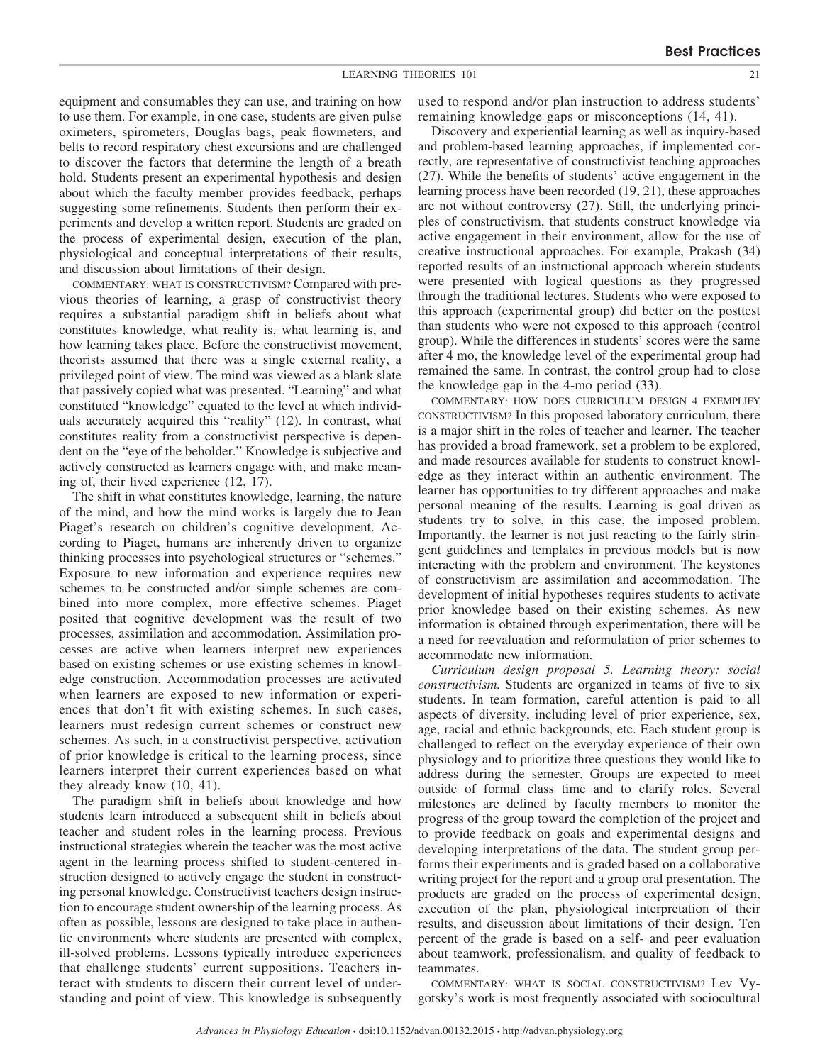equipment and consumables they can use, and training on how to use them. For example, in one case, students are given pulse oximeters, spirometers, Douglas bags, peak flowmeters, and belts to record respiratory chest excursions and are challenged to discover the factors that determine the length of a breath hold. Students present an experimental hypothesis and design about which the faculty member provides feedback, perhaps suggesting some refinements. Students then perform their experiments and develop a written report. Students are graded on the process of experimental design, execution of the plan, physiological and conceptual interpretations of their results, and discussion about limitations of their design.

COMMENTARY: WHAT IS CONSTRUCTIVISM? Compared with previous theories of learning, a grasp of constructivist theory requires a substantial paradigm shift in beliefs about what constitutes knowledge, what reality is, what learning is, and how learning takes place. Before the constructivist movement, theorists assumed that there was a single external reality, a privileged point of view. The mind was viewed as a blank slate that passively copied what was presented. "Learning" and what constituted "knowledge" equated to the level at which individuals accurately acquired this "reality" (12). In contrast, what constitutes reality from a constructivist perspective is dependent on the "eye of the beholder." Knowledge is subjective and actively constructed as learners engage with, and make meaning of, their lived experience (12, 17).

The shift in what constitutes knowledge, learning, the nature of the mind, and how the mind works is largely due to Jean Piaget's research on children's cognitive development. According to Piaget, humans are inherently driven to organize thinking processes into psychological structures or "schemes." Exposure to new information and experience requires new schemes to be constructed and/or simple schemes are combined into more complex, more effective schemes. Piaget posited that cognitive development was the result of two processes, assimilation and accommodation. Assimilation processes are active when learners interpret new experiences based on existing schemes or use existing schemes in knowledge construction. Accommodation processes are activated when learners are exposed to new information or experiences that don't fit with existing schemes. In such cases, learners must redesign current schemes or construct new schemes. As such, in a constructivist perspective, activation of prior knowledge is critical to the learning process, since learners interpret their current experiences based on what they already know (10, 41).

The paradigm shift in beliefs about knowledge and how students learn introduced a subsequent shift in beliefs about teacher and student roles in the learning process. Previous instructional strategies wherein the teacher was the most active agent in the learning process shifted to student-centered instruction designed to actively engage the student in constructing personal knowledge. Constructivist teachers design instruction to encourage student ownership of the learning process. As often as possible, lessons are designed to take place in authentic environments where students are presented with complex, ill-solved problems. Lessons typically introduce experiences that challenge students' current suppositions. Teachers interact with students to discern their current level of understanding and point of view. This knowledge is subsequently used to respond and/or plan instruction to address students' remaining knowledge gaps or misconceptions (14, 41).

Discovery and experiential learning as well as inquiry-based and problem-based learning approaches, if implemented correctly, are representative of constructivist teaching approaches (27). While the benefits of students' active engagement in the learning process have been recorded (19, 21), these approaches are not without controversy (27). Still, the underlying principles of constructivism, that students construct knowledge via active engagement in their environment, allow for the use of creative instructional approaches. For example, Prakash (34) reported results of an instructional approach wherein students were presented with logical questions as they progressed through the traditional lectures. Students who were exposed to this approach (experimental group) did better on the posttest than students who were not exposed to this approach (control group). While the differences in students' scores were the same after 4 mo, the knowledge level of the experimental group had remained the same. In contrast, the control group had to close the knowledge gap in the 4-mo period (33).

COMMENTARY: HOW DOES CURRICULUM DESIGN 4 EXEMPLIFY CONSTRUCTIVISM? In this proposed laboratory curriculum, there is a major shift in the roles of teacher and learner. The teacher has provided a broad framework, set a problem to be explored, and made resources available for students to construct knowledge as they interact within an authentic environment. The learner has opportunities to try different approaches and make personal meaning of the results. Learning is goal driven as students try to solve, in this case, the imposed problem. Importantly, the learner is not just reacting to the fairly stringent guidelines and templates in previous models but is now interacting with the problem and environment. The keystones of constructivism are assimilation and accommodation. The development of initial hypotheses requires students to activate prior knowledge based on their existing schemes. As new information is obtained through experimentation, there will be a need for reevaluation and reformulation of prior schemes to accommodate new information.

*Curriculum design proposal 5. Learning theory: social constructivism.* Students are organized in teams of five to six students. In team formation, careful attention is paid to all aspects of diversity, including level of prior experience, sex, age, racial and ethnic backgrounds, etc. Each student group is challenged to reflect on the everyday experience of their own physiology and to prioritize three questions they would like to address during the semester. Groups are expected to meet outside of formal class time and to clarify roles. Several milestones are defined by faculty members to monitor the progress of the group toward the completion of the project and to provide feedback on goals and experimental designs and developing interpretations of the data. The student group performs their experiments and is graded based on a collaborative writing project for the report and a group oral presentation. The products are graded on the process of experimental design, execution of the plan, physiological interpretation of their results, and discussion about limitations of their design. Ten percent of the grade is based on a self- and peer evaluation about teamwork, professionalism, and quality of feedback to teammates.

COMMENTARY: WHAT IS SOCIAL CONSTRUCTIVISM? Lev Vygotsky's work is most frequently associated with sociocultural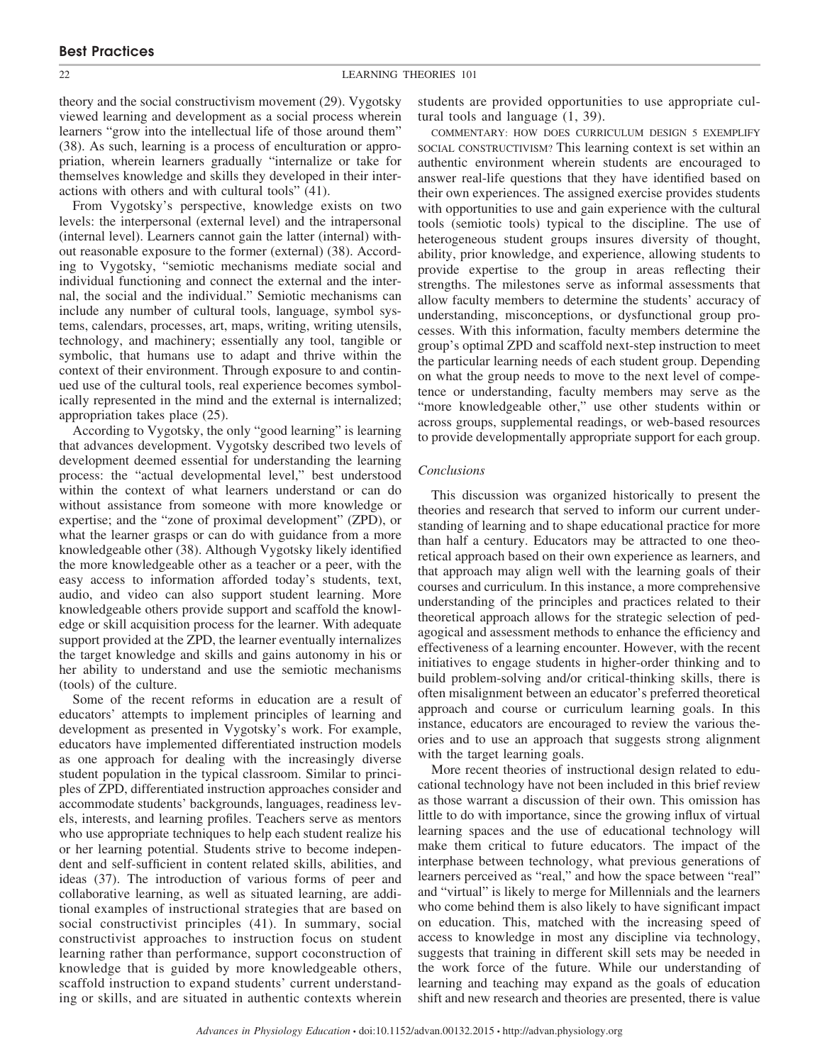theory and the social constructivism movement (29). Vygotsky viewed learning and development as a social process wherein learners "grow into the intellectual life of those around them" (38). As such, learning is a process of enculturation or appropriation, wherein learners gradually "internalize or take for themselves knowledge and skills they developed in their interactions with others and with cultural tools" (41).

From Vygotsky's perspective, knowledge exists on two levels: the interpersonal (external level) and the intrapersonal (internal level). Learners cannot gain the latter (internal) without reasonable exposure to the former (external) (38). According to Vygotsky, "semiotic mechanisms mediate social and individual functioning and connect the external and the internal, the social and the individual." Semiotic mechanisms can include any number of cultural tools, language, symbol systems, calendars, processes, art, maps, writing, writing utensils, technology, and machinery; essentially any tool, tangible or symbolic, that humans use to adapt and thrive within the context of their environment. Through exposure to and continued use of the cultural tools, real experience becomes symbolically represented in the mind and the external is internalized; appropriation takes place (25).

According to Vygotsky, the only "good learning" is learning that advances development. Vygotsky described two levels of development deemed essential for understanding the learning process: the "actual developmental level," best understood within the context of what learners understand or can do without assistance from someone with more knowledge or expertise; and the "zone of proximal development" (ZPD), or what the learner grasps or can do with guidance from a more knowledgeable other (38). Although Vygotsky likely identified the more knowledgeable other as a teacher or a peer, with the easy access to information afforded today's students, text, audio, and video can also support student learning. More knowledgeable others provide support and scaffold the knowledge or skill acquisition process for the learner. With adequate support provided at the ZPD, the learner eventually internalizes the target knowledge and skills and gains autonomy in his or her ability to understand and use the semiotic mechanisms (tools) of the culture.

Some of the recent reforms in education are a result of educators' attempts to implement principles of learning and development as presented in Vygotsky's work. For example, educators have implemented differentiated instruction models as one approach for dealing with the increasingly diverse student population in the typical classroom. Similar to principles of ZPD, differentiated instruction approaches consider and accommodate students' backgrounds, languages, readiness levels, interests, and learning profiles. Teachers serve as mentors who use appropriate techniques to help each student realize his or her learning potential. Students strive to become independent and self-sufficient in content related skills, abilities, and ideas (37). The introduction of various forms of peer and collaborative learning, as well as situated learning, are additional examples of instructional strategies that are based on social constructivist principles (41). In summary, social constructivist approaches to instruction focus on student learning rather than performance, support coconstruction of knowledge that is guided by more knowledgeable others, scaffold instruction to expand students' current understanding or skills, and are situated in authentic contexts wherein students are provided opportunities to use appropriate cultural tools and language (1, 39).

COMMENTARY: HOW DOES CURRICULUM DESIGN 5 EXEMPLIFY SOCIAL CONSTRUCTIVISM? This learning context is set within an authentic environment wherein students are encouraged to answer real-life questions that they have identified based on their own experiences. The assigned exercise provides students with opportunities to use and gain experience with the cultural tools (semiotic tools) typical to the discipline. The use of heterogeneous student groups insures diversity of thought, ability, prior knowledge, and experience, allowing students to provide expertise to the group in areas reflecting their strengths. The milestones serve as informal assessments that allow faculty members to determine the students' accuracy of understanding, misconceptions, or dysfunctional group processes. With this information, faculty members determine the group's optimal ZPD and scaffold next-step instruction to meet the particular learning needs of each student group. Depending on what the group needs to move to the next level of competence or understanding, faculty members may serve as the "more knowledgeable other," use other students within or across groups, supplemental readings, or web-based resources to provide developmentally appropriate support for each group.

### *Conclusions*

This discussion was organized historically to present the theories and research that served to inform our current understanding of learning and to shape educational practice for more than half a century. Educators may be attracted to one theoretical approach based on their own experience as learners, and that approach may align well with the learning goals of their courses and curriculum. In this instance, a more comprehensive understanding of the principles and practices related to their theoretical approach allows for the strategic selection of pedagogical and assessment methods to enhance the efficiency and effectiveness of a learning encounter. However, with the recent initiatives to engage students in higher-order thinking and to build problem-solving and/or critical-thinking skills, there is often misalignment between an educator's preferred theoretical approach and course or curriculum learning goals. In this instance, educators are encouraged to review the various theories and to use an approach that suggests strong alignment with the target learning goals.

More recent theories of instructional design related to educational technology have not been included in this brief review as those warrant a discussion of their own. This omission has little to do with importance, since the growing influx of virtual learning spaces and the use of educational technology will make them critical to future educators. The impact of the interphase between technology, what previous generations of learners perceived as "real," and how the space between "real" and "virtual" is likely to merge for Millennials and the learners who come behind them is also likely to have significant impact on education. This, matched with the increasing speed of access to knowledge in most any discipline via technology, suggests that training in different skill sets may be needed in the work force of the future. While our understanding of learning and teaching may expand as the goals of education shift and new research and theories are presented, there is value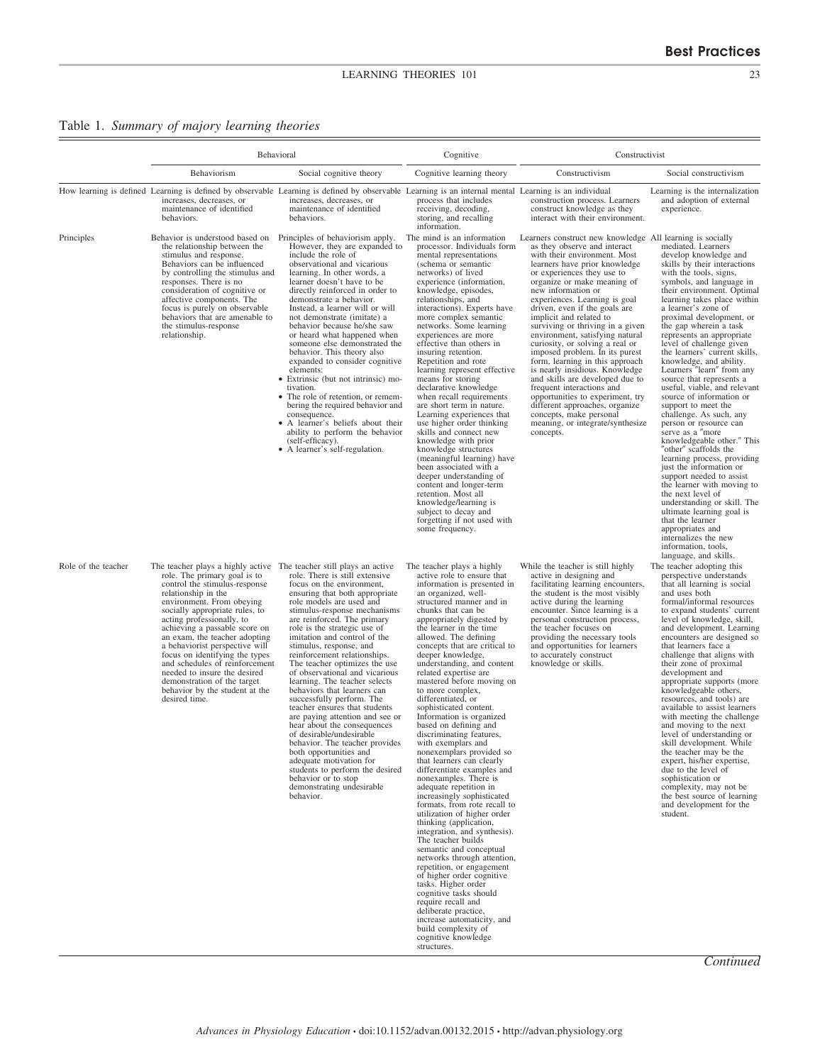# LEARNING THEORIES 101 23

| Table 1. Summary of majory learning theories |  |  |  |  |
|----------------------------------------------|--|--|--|--|
|----------------------------------------------|--|--|--|--|

|                     | Behavioral                                                                                                                                                                                                                                                                                                                                                                                                                                                                                                                                        |                                                                                                                                                                                                                                                                                                                                                                                                                                                                                                                                                                                                                                                                                                                                                                                                               | Cognitive                                                                                                                                                                                                                                                                                                                                                                                                                                                                                                                                                                                                                                                                                                                                                                                                                                                                                                                                                                                                                                                                                                                                                                                                   | Constructivist                                                                                                                                                                                                                                                                                                                                                                                                                                                                                                                                                                                                                                                                                                                                                                |                                                                                                                                                                                                                                                                                                                                                                                                                                                                                                                                                                                                                                                                                                                                                                                                                                                                                                                                                                                                   |  |
|---------------------|---------------------------------------------------------------------------------------------------------------------------------------------------------------------------------------------------------------------------------------------------------------------------------------------------------------------------------------------------------------------------------------------------------------------------------------------------------------------------------------------------------------------------------------------------|---------------------------------------------------------------------------------------------------------------------------------------------------------------------------------------------------------------------------------------------------------------------------------------------------------------------------------------------------------------------------------------------------------------------------------------------------------------------------------------------------------------------------------------------------------------------------------------------------------------------------------------------------------------------------------------------------------------------------------------------------------------------------------------------------------------|-------------------------------------------------------------------------------------------------------------------------------------------------------------------------------------------------------------------------------------------------------------------------------------------------------------------------------------------------------------------------------------------------------------------------------------------------------------------------------------------------------------------------------------------------------------------------------------------------------------------------------------------------------------------------------------------------------------------------------------------------------------------------------------------------------------------------------------------------------------------------------------------------------------------------------------------------------------------------------------------------------------------------------------------------------------------------------------------------------------------------------------------------------------------------------------------------------------|-------------------------------------------------------------------------------------------------------------------------------------------------------------------------------------------------------------------------------------------------------------------------------------------------------------------------------------------------------------------------------------------------------------------------------------------------------------------------------------------------------------------------------------------------------------------------------------------------------------------------------------------------------------------------------------------------------------------------------------------------------------------------------|---------------------------------------------------------------------------------------------------------------------------------------------------------------------------------------------------------------------------------------------------------------------------------------------------------------------------------------------------------------------------------------------------------------------------------------------------------------------------------------------------------------------------------------------------------------------------------------------------------------------------------------------------------------------------------------------------------------------------------------------------------------------------------------------------------------------------------------------------------------------------------------------------------------------------------------------------------------------------------------------------|--|
|                     | Behaviorism                                                                                                                                                                                                                                                                                                                                                                                                                                                                                                                                       | Social cognitive theory                                                                                                                                                                                                                                                                                                                                                                                                                                                                                                                                                                                                                                                                                                                                                                                       | Cognitive learning theory                                                                                                                                                                                                                                                                                                                                                                                                                                                                                                                                                                                                                                                                                                                                                                                                                                                                                                                                                                                                                                                                                                                                                                                   | Constructivism                                                                                                                                                                                                                                                                                                                                                                                                                                                                                                                                                                                                                                                                                                                                                                | Social constructivism                                                                                                                                                                                                                                                                                                                                                                                                                                                                                                                                                                                                                                                                                                                                                                                                                                                                                                                                                                             |  |
|                     | How learning is defined Learning is defined by observable Learning is defined by observable Learning is an internal mental Learning is an individual<br>increases, decreases, or<br>maintenance of identified<br>behaviors.                                                                                                                                                                                                                                                                                                                       | increases, decreases, or<br>maintenance of identified<br>behaviors.                                                                                                                                                                                                                                                                                                                                                                                                                                                                                                                                                                                                                                                                                                                                           | process that includes<br>receiving, decoding,<br>storing, and recalling<br>information.                                                                                                                                                                                                                                                                                                                                                                                                                                                                                                                                                                                                                                                                                                                                                                                                                                                                                                                                                                                                                                                                                                                     | construction process. Learners<br>construct knowledge as they<br>interact with their environment.                                                                                                                                                                                                                                                                                                                                                                                                                                                                                                                                                                                                                                                                             | Learning is the internalization<br>and adoption of external<br>experience.                                                                                                                                                                                                                                                                                                                                                                                                                                                                                                                                                                                                                                                                                                                                                                                                                                                                                                                        |  |
| Principles          | Behavior is understood based on Principles of behaviorism apply.<br>the relationship between the<br>stimulus and response.<br>Behaviors can be influenced<br>by controlling the stimulus and<br>responses. There is no<br>consideration of cognitive or<br>affective components. The<br>focus is purely on observable<br>behaviors that are amenable to<br>the stimulus-response<br>relationship.                                                                                                                                                 | However, they are expanded to<br>include the role of<br>observational and vicarious<br>learning. In other words, a<br>learner doesn't have to be<br>directly reinforced in order to<br>demonstrate a behavior.<br>Instead, a learner will or will<br>not demonstrate (imitate) a<br>behavior because he/she saw<br>or heard what happened when<br>someone else demonstrated the<br>behavior. This theory also<br>expanded to consider cognitive<br>elements:<br>• Extrinsic (but not intrinsic) mo-<br>tivation.<br>• The role of retention, or remem-<br>bering the required behavior and<br>consequence.<br>• A learner's beliefs about their<br>ability to perform the behavior<br>(self-efficacy).<br>• A learner's self-regulation.                                                                      | The mind is an information<br>processor. Individuals form<br>mental representations<br>(schema or semantic<br>networks) of lived<br>experience (information,<br>knowledge, episodes,<br>relationships, and<br>interactions). Experts have<br>more complex semantic<br>networks. Some learning<br>experiences are more<br>effective than others in<br>insuring retention.<br>Repetition and rote<br>learning represent effective<br>means for storing<br>declarative knowledge<br>when recall requirements<br>are short term in nature.<br>Learning experiences that<br>use higher order thinking<br>skills and connect new<br>knowledge with prior<br>knowledge structures<br>(meaningful learning) have<br>been associated with a<br>deeper understanding of<br>content and longer-term<br>retention. Most all<br>knowledge/learning is<br>subject to decay and<br>forgetting if not used with<br>some frequency.                                                                                                                                                                                                                                                                                          | Learners construct new knowledge All learning is socially<br>as they observe and interact<br>with their environment. Most<br>learners have prior knowledge<br>or experiences they use to<br>organize or make meaning of<br>new information or<br>experiences. Learning is goal<br>driven, even if the goals are<br>implicit and related to<br>surviving or thriving in a given<br>environment, satisfying natural<br>curiosity, or solving a real or<br>imposed problem. In its purest<br>form, learning in this approach<br>is nearly insidious. Knowledge<br>and skills are developed due to<br>frequent interactions and<br>opportunities to experiment, try<br>different approaches, organize<br>concepts, make personal<br>meaning, or integrate/synthesize<br>concepts. | mediated. Learners<br>develop knowledge and<br>skills by their interactions<br>with the tools, signs,<br>symbols, and language in<br>their environment. Optimal<br>learning takes place within<br>a learner's zone of<br>proximal development, or<br>the gap wherein a task<br>represents an appropriate<br>level of challenge given<br>the learners' current skills,<br>knowledge, and ability.<br>Learners "learn" from any<br>source that represents a<br>useful, viable, and relevant<br>source of information or<br>support to meet the<br>challenge. As such, any<br>person or resource can<br>serve as a "more<br>knowledgeable other." This<br>"other" scaffolds the<br>learning process, providing<br>just the information or<br>support needed to assist<br>the learner with moving to<br>the next level of<br>understanding or skill. The<br>ultimate learning goal is<br>that the learner<br>appropriates and<br>internalizes the new<br>information, tools,<br>language, and skills. |  |
| Role of the teacher | The teacher plays a highly active The teacher still plays an active<br>role. The primary goal is to<br>control the stimulus-response<br>relationship in the<br>environment. From obeying<br>socially appropriate rules, to<br>acting professionally, to<br>achieving a passable score on<br>an exam, the teacher adopting<br>a behaviorist perspective will<br>focus on identifying the types<br>and schedules of reinforcement<br>needed to insure the desired<br>demonstration of the target<br>behavior by the student at the<br>desired time. | role. There is still extensive<br>focus on the environment,<br>ensuring that both appropriate<br>role models are used and<br>stimulus-response mechanisms<br>are reinforced. The primary<br>role is the strategic use of<br>imitation and control of the<br>stimulus, response, and<br>reinforcement relationships.<br>The teacher optimizes the use<br>of observational and vicarious<br>learning. The teacher selects<br>behaviors that learners can<br>successfully perform. The<br>teacher ensures that students<br>are paying attention and see or<br>hear about the consequences<br>of desirable/undesirable<br>behavior. The teacher provides<br>both opportunities and<br>adequate motivation for<br>students to perform the desired<br>behavior or to stop<br>demonstrating undesirable<br>behavior. | The teacher plays a highly<br>active role to ensure that<br>information is presented in<br>an organized, well-<br>structured manner and in<br>chunks that can be<br>appropriately digested by<br>the learner in the time<br>allowed. The defining<br>concepts that are critical to<br>deeper knowledge,<br>understanding, and content<br>related expertise are<br>mastered before moving on<br>to more complex,<br>differentiated, or<br>sophisticated content.<br>Information is organized<br>based on defining and<br>discriminating features,<br>with exemplars and<br>nonexemplars provided so<br>that learners can clearly<br>differentiate examples and<br>nonexamples. There is<br>adequate repetition in<br>increasingly sophisticated<br>formats, from rote recall to<br>utilization of higher order<br>thinking (application,<br>integration, and synthesis).<br>The teacher builds<br>semantic and conceptual<br>networks through attention,<br>repetition, or engagement<br>of higher order cognitive<br>tasks. Higher order<br>cognitive tasks should<br>require recall and<br>deliberate practice,<br>increase automaticity, and<br>build complexity of<br>cognitive knowledge<br>structures. | While the teacher is still highly<br>active in designing and<br>facilitating learning encounters,<br>the student is the most visibly<br>active during the learning<br>encounter. Since learning is a<br>personal construction process,<br>the teacher focuses on<br>providing the necessary tools<br>and opportunities for learners<br>to accurately construct<br>knowledge or skills.                                                                                                                                                                                                                                                                                                                                                                                        | The teacher adopting this<br>perspective understands<br>that all learning is social<br>and uses both<br>formal/informal resources<br>to expand students' current<br>level of knowledge, skill,<br>and development. Learning<br>encounters are designed so<br>that learners face a<br>challenge that aligns with<br>their zone of proximal<br>development and<br>appropriate supports (more<br>knowledgeable others,<br>resources, and tools) are<br>available to assist learners<br>with meeting the challenge<br>and moving to the next<br>level of understanding or<br>skill development. While<br>the teacher may be the<br>expert, his/her expertise,<br>due to the level of<br>sophistication or<br>complexity, may not be<br>the best source of learning<br>and development for the<br>student.                                                                                                                                                                                             |  |

*Continued*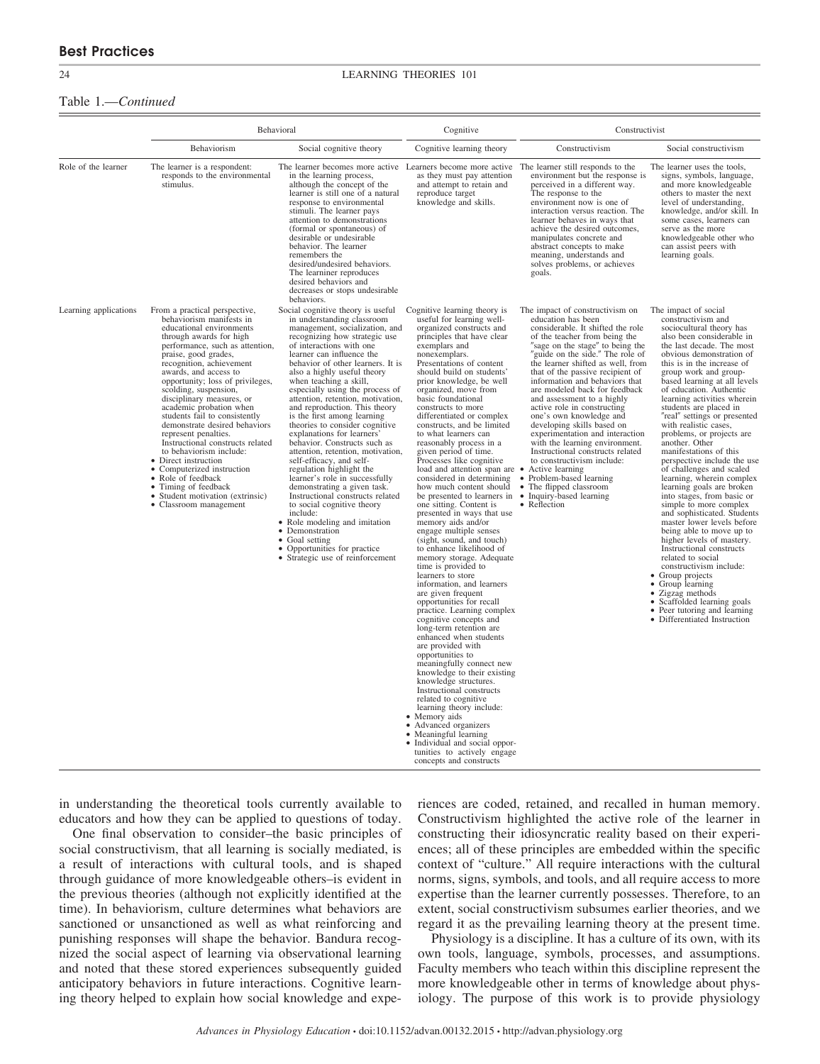# 24 LEARNING THEORIES 101

# Table 1.—*Continued*

|                       | Behavioral                                                                                                                                                                                                                                                                                                                                                                                                                                                                                                                                                                                                                                                                 |                                                                                                                                                                                                                                                                                                                                                                                                                                                                                                                                                                                                                                                                                                                                                                                                                                                                                                                         | Cognitive                                                                                                                                                                                                                                                                                                                                                                                                                                                                                                                                                                                                                                                                                                                                                                                                                                                                                                                                                                                                                                                                                                                                                                                                                                                                                                                                                                                                                                                            | Constructivist                                                                                                                                                                                                                                                                                                                                                                                                                                                                                                                                                                                                                                                                      |                                                                                                                                                                                                                                                                                                                                                                                                                                                                                                                                                                                                                                                                                                                                                                                                                                                                                                                                                                                                                     |
|-----------------------|----------------------------------------------------------------------------------------------------------------------------------------------------------------------------------------------------------------------------------------------------------------------------------------------------------------------------------------------------------------------------------------------------------------------------------------------------------------------------------------------------------------------------------------------------------------------------------------------------------------------------------------------------------------------------|-------------------------------------------------------------------------------------------------------------------------------------------------------------------------------------------------------------------------------------------------------------------------------------------------------------------------------------------------------------------------------------------------------------------------------------------------------------------------------------------------------------------------------------------------------------------------------------------------------------------------------------------------------------------------------------------------------------------------------------------------------------------------------------------------------------------------------------------------------------------------------------------------------------------------|----------------------------------------------------------------------------------------------------------------------------------------------------------------------------------------------------------------------------------------------------------------------------------------------------------------------------------------------------------------------------------------------------------------------------------------------------------------------------------------------------------------------------------------------------------------------------------------------------------------------------------------------------------------------------------------------------------------------------------------------------------------------------------------------------------------------------------------------------------------------------------------------------------------------------------------------------------------------------------------------------------------------------------------------------------------------------------------------------------------------------------------------------------------------------------------------------------------------------------------------------------------------------------------------------------------------------------------------------------------------------------------------------------------------------------------------------------------------|-------------------------------------------------------------------------------------------------------------------------------------------------------------------------------------------------------------------------------------------------------------------------------------------------------------------------------------------------------------------------------------------------------------------------------------------------------------------------------------------------------------------------------------------------------------------------------------------------------------------------------------------------------------------------------------|---------------------------------------------------------------------------------------------------------------------------------------------------------------------------------------------------------------------------------------------------------------------------------------------------------------------------------------------------------------------------------------------------------------------------------------------------------------------------------------------------------------------------------------------------------------------------------------------------------------------------------------------------------------------------------------------------------------------------------------------------------------------------------------------------------------------------------------------------------------------------------------------------------------------------------------------------------------------------------------------------------------------|
|                       | Behaviorism                                                                                                                                                                                                                                                                                                                                                                                                                                                                                                                                                                                                                                                                | Social cognitive theory                                                                                                                                                                                                                                                                                                                                                                                                                                                                                                                                                                                                                                                                                                                                                                                                                                                                                                 | Cognitive learning theory                                                                                                                                                                                                                                                                                                                                                                                                                                                                                                                                                                                                                                                                                                                                                                                                                                                                                                                                                                                                                                                                                                                                                                                                                                                                                                                                                                                                                                            | Constructivism                                                                                                                                                                                                                                                                                                                                                                                                                                                                                                                                                                                                                                                                      | Social constructivism                                                                                                                                                                                                                                                                                                                                                                                                                                                                                                                                                                                                                                                                                                                                                                                                                                                                                                                                                                                               |
| Role of the learner   | The learner is a respondent:<br>responds to the environmental<br>stimulus.                                                                                                                                                                                                                                                                                                                                                                                                                                                                                                                                                                                                 | The learner becomes more active Learners become more active The learner still responds to the<br>in the learning process,<br>although the concept of the<br>learner is still one of a natural<br>response to environmental<br>stimuli. The learner pays<br>attention to demonstrations<br>(formal or spontaneous) of<br>desirable or undesirable<br>behavior. The learner<br>remembers the<br>desired/undesired behaviors.<br>The learniner reproduces<br>desired behaviors and<br>decreases or stops undesirable<br>behaviors.                                                                                                                                                                                                                                                                                                                                                                                         | as they must pay attention<br>and attempt to retain and<br>reproduce target<br>knowledge and skills.                                                                                                                                                                                                                                                                                                                                                                                                                                                                                                                                                                                                                                                                                                                                                                                                                                                                                                                                                                                                                                                                                                                                                                                                                                                                                                                                                                 | environment but the response is<br>perceived in a different way.<br>The response to the<br>environment now is one of<br>interaction versus reaction. The<br>learner behaves in ways that<br>achieve the desired outcomes,<br>manipulates concrete and<br>abstract concepts to make<br>meaning, understands and<br>solves problems, or achieves<br>goals.                                                                                                                                                                                                                                                                                                                            | The learner uses the tools,<br>signs, symbols, language,<br>and more knowledgeable<br>others to master the next<br>level of understanding,<br>knowledge, and/or skill. In<br>some cases, learners can<br>serve as the more<br>knowledgeable other who<br>can assist peers with<br>learning goals.                                                                                                                                                                                                                                                                                                                                                                                                                                                                                                                                                                                                                                                                                                                   |
| Learning applications | From a practical perspective,<br>behaviorism manifests in<br>educational environments<br>through awards for high<br>performance, such as attention,<br>praise, good grades,<br>recognition, achievement<br>awards, and access to<br>opportunity; loss of privileges,<br>scolding, suspension,<br>disciplinary measures, or<br>academic probation when<br>students fail to consistently<br>demonstrate desired behaviors<br>represent penalties.<br>Instructional constructs related<br>to behaviorism include:<br>Direct instruction<br>Computerized instruction<br>Role of feedback<br>• Timing of feedback<br>• Student motivation (extrinsic)<br>• Classroom management | Social cognitive theory is useful<br>in understanding classroom<br>management, socialization, and<br>recognizing how strategic use<br>of interactions with one<br>learner can influence the<br>behavior of other learners. It is<br>also a highly useful theory<br>when teaching a skill,<br>especially using the process of<br>attention, retention, motivation,<br>and reproduction. This theory<br>is the first among learning<br>theories to consider cognitive<br>explanations for learners'<br>behavior. Constructs such as<br>attention, retention, motivation,<br>self-efficacy, and self-<br>regulation highlight the<br>learner's role in successfully<br>demonstrating a given task.<br>Instructional constructs related<br>to social cognitive theory<br>include:<br>• Role modeling and imitation<br>• Demonstration<br>• Goal setting<br>• Opportunities for practice<br>• Strategic use of reinforcement | Cognitive learning theory is<br>useful for learning well-<br>organized constructs and<br>principles that have clear<br>exemplars and<br>nonexemplars.<br>Presentations of content<br>should build on students'<br>prior knowledge, be well<br>organized, move from<br>basic foundational<br>constructs to more<br>differentiated or complex<br>constructs, and be limited<br>to what learners can<br>reasonably process in a<br>given period of time.<br>Processes like cognitive<br>load and attention span are • Active learning<br>considered in determining<br>how much content should<br>be presented to learners in • Inquiry-based learning<br>one sitting. Content is<br>presented in ways that use<br>memory aids and/or<br>engage multiple senses<br>(sight, sound, and touch)<br>to enhance likelihood of<br>memory storage. Adequate<br>time is provided to<br>learners to store<br>information, and learners<br>are given frequent<br>opportunities for recall<br>practice. Learning complex<br>cognitive concepts and<br>long-term retention are<br>enhanced when students<br>are provided with<br>opportunities to<br>meaningfully connect new<br>knowledge to their existing<br>knowledge structures.<br>Instructional constructs<br>related to cognitive<br>learning theory include:<br>• Memory aids<br>• Advanced organizers<br>• Meaningful learning<br>• Individual and social oppor-<br>tunities to actively engage<br>concepts and constructs | The impact of constructivism on<br>education has been<br>considerable. It shifted the role<br>of the teacher from being the<br>"sage on the stage" to being the<br>"guide on the side." The role of<br>the learner shifted as well, from<br>that of the passive recipient of<br>information and behaviors that<br>are modeled back for feedback<br>and assessment to a highly<br>active role in constructing<br>one's own knowledge and<br>developing skills based on<br>experimentation and interaction<br>with the learning environment.<br>Instructional constructs related<br>to constructivism include:<br>• Problem-based learning<br>• The flipped classroom<br>• Reflection | The impact of social<br>constructivism and<br>sociocultural theory has<br>also been considerable in<br>the last decade. The most<br>obvious demonstration of<br>this is in the increase of<br>group work and group-<br>based learning at all levels<br>of education. Authentic<br>learning activities wherein<br>students are placed in<br>"real" settings or presented<br>with realistic cases,<br>problems, or projects are<br>another. Other<br>manifestations of this<br>perspective include the use<br>of challenges and scaled<br>learning, wherein complex<br>learning goals are broken<br>into stages, from basic or<br>simple to more complex<br>and sophisticated. Students<br>master lower levels before<br>being able to move up to<br>higher levels of mastery.<br>Instructional constructs<br>related to social<br>constructivism include:<br>• Group projects<br>• Group learning<br>• Zigzag methods<br>• Scaffolded learning goals<br>• Peer tutoring and learning<br>• Differentiated Instruction |

in understanding the theoretical tools currently available to educators and how they can be applied to questions of today.

One final observation to consider–the basic principles of social constructivism, that all learning is socially mediated, is a result of interactions with cultural tools, and is shaped through guidance of more knowledgeable others–is evident in the previous theories (although not explicitly identified at the time). In behaviorism, culture determines what behaviors are sanctioned or unsanctioned as well as what reinforcing and punishing responses will shape the behavior. Bandura recognized the social aspect of learning via observational learning and noted that these stored experiences subsequently guided anticipatory behaviors in future interactions. Cognitive learning theory helped to explain how social knowledge and expe-

riences are coded, retained, and recalled in human memory. Constructivism highlighted the active role of the learner in constructing their idiosyncratic reality based on their experiences; all of these principles are embedded within the specific context of "culture." All require interactions with the cultural norms, signs, symbols, and tools, and all require access to more expertise than the learner currently possesses. Therefore, to an extent, social constructivism subsumes earlier theories, and we regard it as the prevailing learning theory at the present time.

Physiology is a discipline. It has a culture of its own, with its own tools, language, symbols, processes, and assumptions. Faculty members who teach within this discipline represent the more knowledgeable other in terms of knowledge about physiology. The purpose of this work is to provide physiology